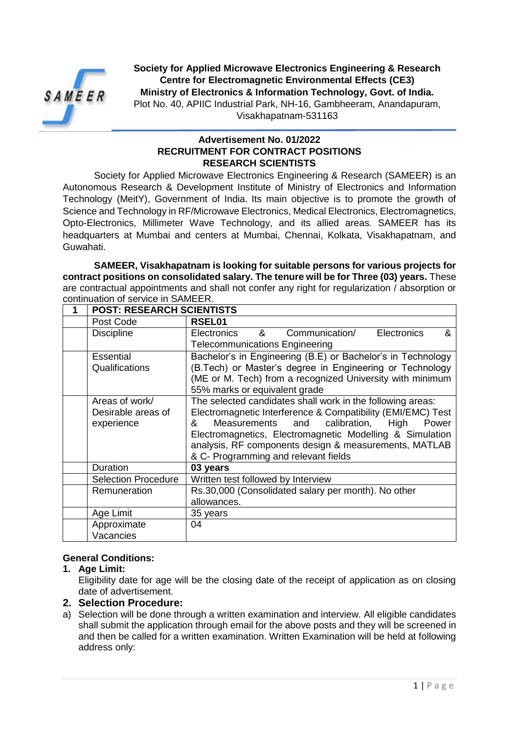

**Society for Applied Microwave Electronics Engineering & Research Centre for Electromagnetic Environmental Effects (CE3) Ministry of Electronics & Information Technology, Govt. of India.**

Plot No. 40, APIIC Industrial Park, NH-16, Gambheeram, Anandapuram, Visakhapatnam-531163

### **Advertisement No. 01/2022 RECRUITMENT FOR CONTRACT POSITIONS RESEARCH SCIENTISTS**

Society for Applied Microwave Electronics Engineering & Research (SAMEER) is an Autonomous Research & Development Institute of Ministry of Electronics and Information Technology (MeitY), Government of India. Its main objective is to promote the growth of Science and Technology in RF/Microwave Electronics, Medical Electronics, Electromagnetics, Opto-Electronics, Millimeter Wave Technology, and its allied areas. SAMEER has its headquarters at Mumbai and centers at Mumbai, Chennai, Kolkata, Visakhapatnam, and Guwahati.

**SAMEER, Visakhapatnam is looking for suitable persons for various projects for contract positions on consolidated salary. The tenure will be for Three (03) years.** These are contractual appointments and shall not confer any right for regularization / absorption or continuation of service in SAMEER.

| <b>POST: RESEARCH SCIENTISTS</b> |                                                             |
|----------------------------------|-------------------------------------------------------------|
| Post Code                        | RSEL01                                                      |
| <b>Discipline</b>                | &<br>Communication/<br>Electronics<br>&<br>Electronics      |
|                                  | <b>Telecommunications Engineering</b>                       |
| Essential                        | Bachelor's in Engineering (B.E) or Bachelor's in Technology |
| Qualifications                   | (B.Tech) or Master's degree in Engineering or Technology    |
|                                  | (ME or M. Tech) from a recognized University with minimum   |
|                                  | 55% marks or equivalent grade                               |
| Areas of work/                   | The selected candidates shall work in the following areas:  |
| Desirable areas of               | Electromagnetic Interference & Compatibility (EMI/EMC) Test |
| experience                       | Measurements and calibration,<br>High<br>&<br>Power         |
|                                  | Electromagnetics, Electromagnetic Modelling & Simulation    |
|                                  | analysis, RF components design & measurements, MATLAB       |
|                                  | & C- Programming and relevant fields                        |
| Duration                         | 03 years                                                    |
| <b>Selection Procedure</b>       | Written test followed by Interview                          |
| Remuneration                     | Rs.30,000 (Consolidated salary per month). No other         |
|                                  | allowances.                                                 |
| Age Limit                        | 35 years                                                    |
| Approximate                      | 04                                                          |
| Vacancies                        |                                                             |

## **General Conditions:**

#### **1. Age Limit:**

Eligibility date for age will be the closing date of the receipt of application as on closing date of advertisement.

#### **2. Selection Procedure:**

a) Selection will be done through a written examination and interview. All eligible candidates shall submit the application through email for the above posts and they will be screened in and then be called for a written examination. Written Examination will be held at following address only: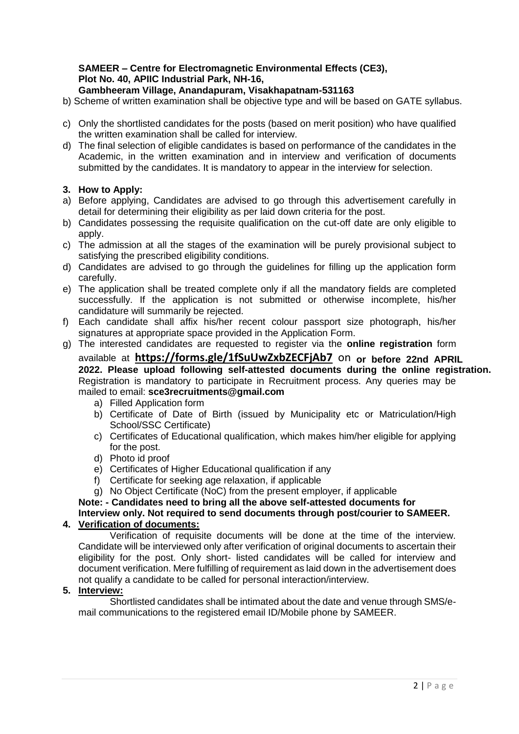# **SAMEER – Centre for Electromagnetic Environmental Effects (CE3), Plot No. 40, APIIC Industrial Park, NH-16,**

### **Gambheeram Village, Anandapuram, Visakhapatnam-531163**

- b) Scheme of written examination shall be objective type and will be based on GATE syllabus.
- c) Only the shortlisted candidates for the posts (based on merit position) who have qualified the written examination shall be called for interview.
- d) The final selection of eligible candidates is based on performance of the candidates in the Academic, in the written examination and in interview and verification of documents submitted by the candidates. It is mandatory to appear in the interview for selection.

#### **3. How to Apply:**

- a) Before applying, Candidates are advised to go through this advertisement carefully in detail for determining their eligibility as per laid down criteria for the post.
- b) Candidates possessing the requisite qualification on the cut-off date are only eligible to apply.
- c) The admission at all the stages of the examination will be purely provisional subject to satisfying the prescribed eligibility conditions.
- d) Candidates are advised to go through the guidelines for filling up the application form carefully.
- e) The application shall be treated complete only if all the mandatory fields are completed successfully. If the application is not submitted or otherwise incomplete, his/her candidature will summarily be rejected.
- f) Each candidate shall affix his/her recent colour passport size photograph, his/her signatures at appropriate space provided in the Application Form.
- g) The interested candidates are requested to register via the **online registration** form available at **https://forms.gle/1fSuUwZxbZECFjAb7** on **or before 22nd APRIL** Registration is mandatory to participate in Recruitment process. Any queries may be mailed to email: **sce3recruitments@gmail.com 2022. Please upload following self-attested documents during the online registration.**
	- a) Filled Application form
	- b) Certificate of Date of Birth (issued by Municipality etc or Matriculation/High School/SSC Certificate)
	- c) Certificates of Educational qualification, which makes him/her eligible for applying for the post.
	- d) Photo id proof
	- e) Certificates of Higher Educational qualification if any
	- f) Certificate for seeking age relaxation, if applicable
	- g) No Object Certificate (NoC) from the present employer, if applicable

### **Note: - Candidates need to bring all the above self-attested documents for Interview only. Not required to send documents through post/courier to SAMEER.**

## **4. Verification of documents:**

Verification of requisite documents will be done at the time of the interview. Candidate will be interviewed only after verification of original documents to ascertain their eligibility for the post. Only short- listed candidates will be called for interview and document verification. Mere fulfilling of requirement as laid down in the advertisement does not qualify a candidate to be called for personal interaction/interview.

#### **5. Interview:**

Shortlisted candidates shall be intimated about the date and venue through SMS/email communications to the registered email ID/Mobile phone by SAMEER.